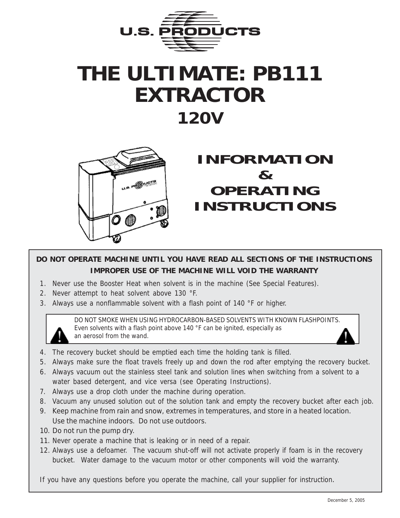

# **THE ULTIMATE: PB111 EXTRACTOR 120V**



### **INFORMATION & OPERATING INSTRUCTIONS**

#### **DO NOT OPERATE MACHINE UNTIL YOU HAVE READ ALL SECTIONS OF THE INSTRUCTIONS IMPROPER USE OF THE MACHINE WILL VOID THE WARRANTY**

- 1. Never use the Booster Heat when solvent is in the machine (See Special Features).
- 2. Never attempt to heat solvent above 130 °F.
- 3. Always use a nonflammable solvent with a flash point of 140 °F or higher.

DO NOT SMOKE WHEN USING HYDROCARBON-BASED SOLVENTS WITH KNOWN FLASHPOINTS. Even solvents with a flash point above 140 °F can be ignited, especially as an aerosol from the wand.

- 4. The recovery bucket should be emptied each time the holding tank is filled.
- 5. Always make sure the float travels freely up and down the rod after emptying the recovery bucket.
- 6. Always vacuum out the stainless steel tank and solution lines when switching from a solvent to a water based detergent, and vice versa (see Operating Instructions).
- 7. Always use a drop cloth under the machine during operation.
- 8. Vacuum any unused solution out of the solution tank and empty the recovery bucket after each job.
- 9. Keep machine from rain and snow, extremes in temperatures, and store in a heated location. Use the machine indoors. Do not use outdoors.
- 10. Do not run the pump dry.
- 11. Never operate a machine that is leaking or in need of a repair.
- 12. Always use a defoamer. The vacuum shut-off will not activate properly if foam is in the recovery bucket. Water damage to the vacuum motor or other components will void the warranty.

If you have any questions before you operate the machine, call your supplier for instruction.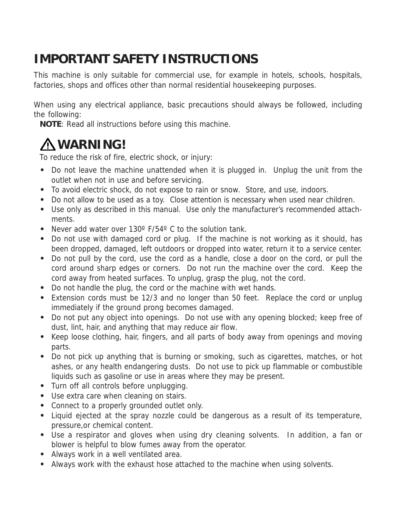### **IMPORTANT SAFETY INSTRUCTIONS**

This machine is only suitable for commercial use, for example in hotels, schools, hospitals, factories, shops and offices other than normal residential housekeeping purposes.

When using any electrical appliance, basic precautions should always be followed, including the following:

**NOTE**: Read all instructions before using this machine.

## **WARNING!**

To reduce the risk of fire, electric shock, or injury:

- **•** Do not leave the machine unattended when it is plugged in. Unplug the unit from the outlet when not in use and before servicing.
- **•** To avoid electric shock, do not expose to rain or snow. Store, and use, indoors.
- **•** Do not allow to be used as a toy. Close attention is necessary when used near children.
- **•** Use only as described in this manual. Use only the manufacturer's recommended attachments.
- **•** Never add water over 130º F/54º C to the solution tank.
- **•** Do not use with damaged cord or plug. If the machine is not working as it should, has been dropped, damaged, left outdoors or dropped into water, return it to a service center.
- **•** Do not pull by the cord, use the cord as a handle, close a door on the cord, or pull the cord around sharp edges or corners. Do not run the machine over the cord. Keep the cord away from heated surfaces. To unplug, grasp the plug, not the cord.
- **•** Do not handle the plug, the cord or the machine with wet hands.
- **•** Extension cords must be 12/3 and no longer than 50 feet. Replace the cord or unplug immediately if the ground prong becomes damaged.
- **•** Do not put any object into openings. Do not use with any opening blocked; keep free of dust, lint, hair, and anything that may reduce air flow.
- **•** Keep loose clothing, hair, fingers, and all parts of body away from openings and moving parts.
- **•** Do not pick up anything that is burning or smoking, such as cigarettes, matches, or hot ashes, or any health endangering dusts. Do not use to pick up flammable or combustible liquids such as gasoline or use in areas where they may be present.
- **•** Turn off all controls before unplugging.
- **•** Use extra care when cleaning on stairs.
- **•** Connect to a properly grounded outlet only.
- **•** Liquid ejected at the spray nozzle could be dangerous as a result of its temperature, pressure,or chemical content.
- **•** Use a respirator and gloves when using dry cleaning solvents. In addition, a fan or blower is helpful to blow fumes away from the operator.
- **•** Always work in a well ventilated area.
- **•** Always work with the exhaust hose attached to the machine when using solvents.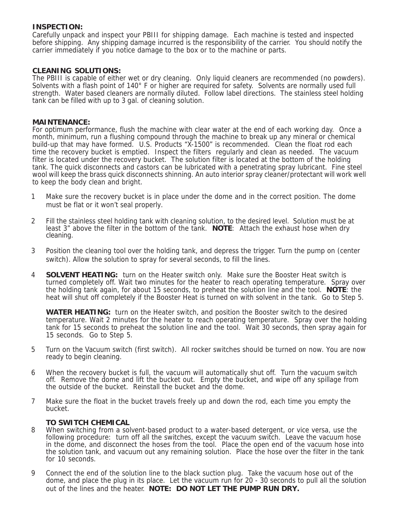#### **INSPECTION:**

Carefully unpack and inspect your PBIII for shipping damage. Each machine is tested and inspected before shipping. Any shipping damage incurred is the responsibility of the carrier. You should notify the carrier immediately if you notice damage to the box or to the machine or parts.

#### **CLEANING SOLUTIONS:**

The PBIII is capable of either wet or dry cleaning. Only liquid cleaners are recommended (no powders). Solvents with a flash point of 140° F or higher are required for safety. Solvents are normally used full strength. Water based cleaners are normally diluted. Follow label directions. The stainless steel holding tank can be filled with up to 3 gal. of cleaning solution.

#### **MAINTENANCE:**

For optimum performance, flush the machine with clear water at the end of each working day. Once a month, minimum, run a flushing compound through the machine to break up any mineral or chemical build-up that may have formed. U.S. Products "X-1500" is recommended. Clean the float rod each time the recovery bucket is emptied. Inspect the filters regularly and clean as needed. The vacuum filter is located under the recovery bucket. The solution filter is located at the bottom of the holding tank. The quick disconnects and castors can be lubricated with a penetrating spray lubricant. Fine steel wool will keep the brass quick disconnects shinning. An auto interior spray cleaner/protectant will work well to keep the body clean and bright.

- 1 Make sure the recovery bucket is in place under the dome and in the correct position. The dome must be flat or it won't seal properly.
- 2 Fill the stainless steel holding tank with cleaning solution, to the desired level. Solution must be at least 3" above the filter in the bottom of the tank. **NOTE**: Attach the exhaust hose when dry cleaning.
- 3 Position the cleaning tool over the holding tank, and depress the trigger. Turn the pump on (center switch). Allow the solution to spray for several seconds, to fill the lines.
- 4 **SOLVENT HEATING:** turn on the Heater switch only. Make sure the Booster Heat switch is turned completely off. Wait two minutes for the heater to reach operating temperature. Spray over the holding tank again, for about 15 seconds, to preheat the solution line and the tool. **NOTE**: the heat will shut off completely if the Booster Heat is turned on with solvent in the tank. Go to Step 5.

**WATER HEATING:** turn on the Heater switch, and position the Booster switch to the desired temperature. Wait 2 minutes for the heater to reach operating temperature. Spray over the holding tank for 15 seconds to preheat the solution line and the tool. Wait 30 seconds, then spray again for 15 seconds. Go to Step 5.

- 5 Turn on the Vacuum switch (first switch). All rocker switches should be turned on now. You are now ready to begin cleaning.
- 6 When the recovery bucket is full, the vacuum will automatically shut off. Turn the vacuum switch off. Remove the dome and lift the bucket out. Empty the bucket, and wipe off any spillage from the outside of the bucket. Reinstall the bucket and the dome.
- 7 Make sure the float in the bucket travels freely up and down the rod, each time you empty the bucket.

#### **TO SWITCH CHEMICAL**

- 8 When switching from a solvent-based product to a water-based detergent, or vice versa, use the following procedure: turn off all the switches, except the vacuum switch. Leave the vacuum hose in the dome, and disconnect the hoses from the tool. Place the open end of the vacuum hose into the solution tank, and vacuum out any remaining solution. Place the hose over the filter in the tank for 10 seconds.
- 9 Connect the end of the solution line to the black suction plug. Take the vacuum hose out of the dome, and place the plug in its place. Let the vacuum run for 20 - 30 seconds to pull all the solution out of the lines and the heater. **NOTE: DO NOT LET THE PUMP RUN DRY.**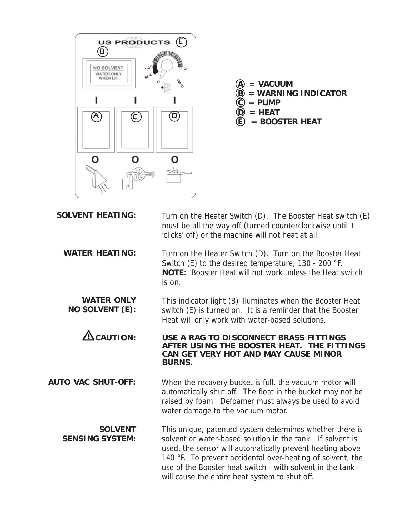

- $\circledA =$  VACUUM  $\widetilde{B}$  = WARNING INDICATOR  $\widetilde{\mathbb{C}}$  = PUMP  $\odot$  = **HEAT**
- $\widetilde{E}$  = BOOSTER HEAT

| <b>SOLVENT HEATING:</b>                  | Turn on the Heater Switch (D). The Booster Heat switch (E)<br>must be all the way off (turned counterclockwise until it<br>'clicks' off) or the machine will not heat at all.                                                                                                                                                                                      |
|------------------------------------------|--------------------------------------------------------------------------------------------------------------------------------------------------------------------------------------------------------------------------------------------------------------------------------------------------------------------------------------------------------------------|
| <b>WATER HEATING:</b>                    | Turn on the Heater Switch (D). Turn on the Booster Heat<br>Switch (E) to the desired temperature, 130 - 200 °F.<br><b>NOTE:</b> Booster Heat will not work unless the Heat switch<br>is on.                                                                                                                                                                        |
| <b>WATER ONLY</b><br>NO SOLVENT (E):     | This indicator light (B) illuminates when the Booster Heat<br>switch (E) is turned on. It is a reminder that the Booster<br>Heat will only work with water-based solutions.                                                                                                                                                                                        |
| $\Delta$ CAUTION:                        | USE A RAG TO DISCONNECT BRASS FITTINGS<br>AFTER USING THE BOOSTER HEAT. THE FITTINGS<br>CAN GET VERY HOT AND MAY CAUSE MINOR<br><b>BURNS.</b>                                                                                                                                                                                                                      |
| <b>AUTO VAC SHUT-OFF:</b>                | When the recovery bucket is full, the vacuum motor will<br>automatically shut off. The float in the bucket may not be<br>raised by foam. Defoamer must always be used to avoid<br>water damage to the vacuum motor.                                                                                                                                                |
| <b>SOLVENT</b><br><b>SENSING SYSTEM:</b> | This unique, patented system determines whether there is<br>solvent or water-based solution in the tank. If solvent is<br>used, the sensor will automatically prevent heating above<br>140 °F. To prevent accidental over-heating of solvent, the<br>use of the Booster heat switch - with solvent in the tank -<br>will cause the entire heat system to shut off. |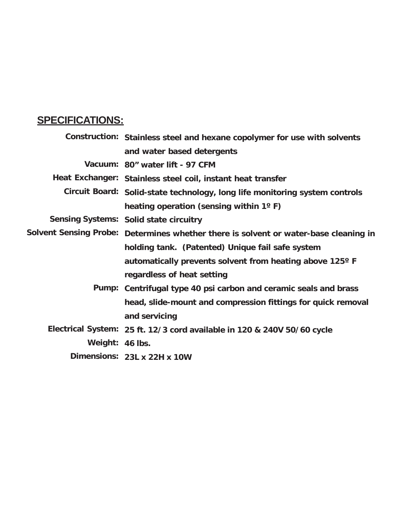### **SPECIFICATIONS:**

|                                                                                                                                                                                                                                      | Construction: Stainless steel and hexane copolymer for use with solvents             |
|--------------------------------------------------------------------------------------------------------------------------------------------------------------------------------------------------------------------------------------|--------------------------------------------------------------------------------------|
|                                                                                                                                                                                                                                      | and water based detergents                                                           |
|                                                                                                                                                                                                                                      | Vacuum: 80" water lift - 97 CFM                                                      |
|                                                                                                                                                                                                                                      | Heat Exchanger: Stainless steel coil, instant heat transfer                          |
|                                                                                                                                                                                                                                      | Circuit Board: Solid-state technology, long life monitoring system controls          |
|                                                                                                                                                                                                                                      | heating operation (sensing within 1°F)                                               |
|                                                                                                                                                                                                                                      | Sensing Systems: Solid state circuitry                                               |
|                                                                                                                                                                                                                                      | Solvent Sensing Probe: Determines whether there is solvent or water-base cleaning in |
|                                                                                                                                                                                                                                      | holding tank. (Patented) Unique fail safe system                                     |
|                                                                                                                                                                                                                                      | automatically prevents solvent from heating above 125° F                             |
|                                                                                                                                                                                                                                      | regardless of heat setting                                                           |
|                                                                                                                                                                                                                                      | Pump: Centrifugal type 40 psi carbon and ceramic seals and brass                     |
|                                                                                                                                                                                                                                      | head, slide-mount and compression fittings for quick removal                         |
|                                                                                                                                                                                                                                      | and servicing                                                                        |
|                                                                                                                                                                                                                                      | Electrical System: 25 ft. 12/3 cord available in 120 & 240V 50/60 cycle              |
| Weight: 46 lbs.                                                                                                                                                                                                                      |                                                                                      |
| <b>District Contract Contract Contract Contract Contract Contract Contract Contract Contract Contract Contract Contract Contract Contract Contract Contract Contract Contract Contract Contract Contract Contract Contract Contr</b> |                                                                                      |

**Dimensions: 23L x 22H x 10W**